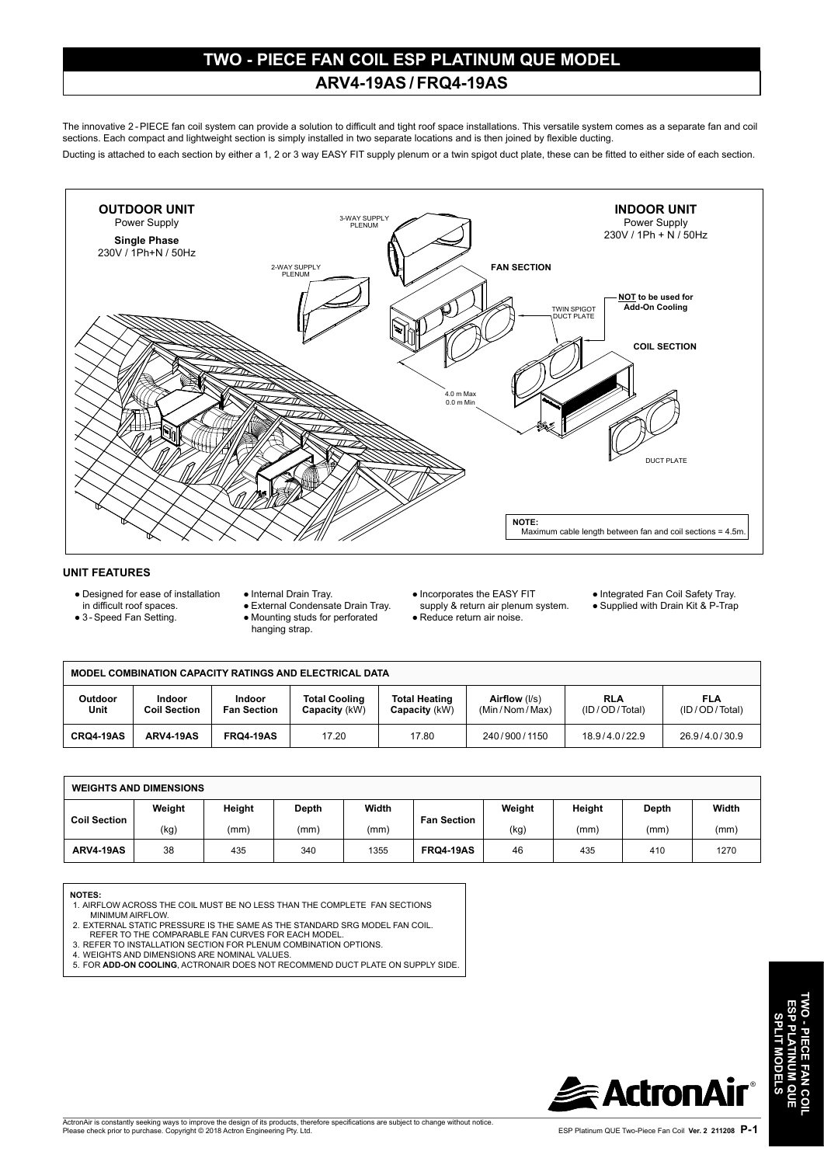# **TWO - PIECE FAN COIL ESP PLATINUM QUE MODEL ARV4-19AS / FRQ4-19AS**

The innovative 2 - PIECE fan coil system can provide a solution to difficult and tight roof space installations. This versatile system comes as a separate fan and coil sections. Each compact and lightweight section is simply installed in two separate locations and is then joined by flexible ducting.

Ducting is attached to each section by either a 1, 2 or 3 way EASY FIT supply plenum or a twin spigot duct plate, these can be fitted to either side of each section.



# **UNIT FEATURES**

● Designed for ease of installation in difficult roof spaces.

● 3 - Speed Fan Setting.

- Internal Drain Tray. ● External Condensate Drain Tray.
	- Mounting studs for perforated
	- hanging strap.
- Incorporates the EASY FIT
- supply & return air plenum system. ● Reduce return air noise.
- Integrated Fan Coil Safety Tray.
- Supplied with Drain Kit & P-Trap

| <b>MODEL COMBINATION CAPACITY RATINGS AND ELECTRICAL DATA</b> |                               |                              |                                       |                                       |                                |                             |                             |
|---------------------------------------------------------------|-------------------------------|------------------------------|---------------------------------------|---------------------------------------|--------------------------------|-----------------------------|-----------------------------|
| <b>Outdoor</b><br>Unit                                        | Indoor<br><b>Coil Section</b> | Indoor<br><b>Fan Section</b> | <b>Total Cooling</b><br>Capacity (kW) | <b>Total Heating</b><br>Capacity (kW) | Airflow (I/s)<br>(Min/Nom/Max) | <b>RLA</b><br>(ID/OD/Total) | <b>FLA</b><br>(ID/OD/Total) |
| <b>CRQ4-19AS</b>                                              | ARV4-19AS                     | <b>FRQ4-19AS</b>             | 17.20                                 | 17.80                                 | 240/900/1150                   | 18.9/4.0/22.9               | 26.9/4.0/30.9               |

| <b>WEIGHTS AND DIMENSIONS</b> |        |        |       |       |                    |        |        |       |       |
|-------------------------------|--------|--------|-------|-------|--------------------|--------|--------|-------|-------|
| <b>Coil Section</b>           | Weight | Height | Depth | Width | <b>Fan Section</b> | Weight | Height | Depth | Width |
|                               | (kg)   | (mm)   | (mm)  | (mm)  |                    | (kg)   | (mm)   | (mm)  | (mm)  |
| <b>ARV4-19AS</b>              | 38     | 435    | 340   | 1355  | <b>FRQ4-19AS</b>   | 46     | 435    | 410   | 1270  |

#### **NOTES:**

- 1. AIRFLOW ACROSS THE COIL MUST BE NO LESS THAN THE COMPLETE FAN SECTIONS MINIMUM AIRFLOW.
- 2. EXTERNAL STATIC PRESSURE IS THE SAME AS THE STANDARD SRG MODEL FAN COIL.
- 
- REFER TO THE COMPARABLE FAN CURVES FOR EACH MODEL. 3. REFER TO INSTALLATION SECTION FOR PLENUM COMBINATION OPTIONS.
- 
- 4. WEIGHTS AND DIMENSIONS ARE NOMINAL VALUES. 5. FOR **ADD-ON COOLING**, ACTRONAIR DOES NOT RECOMMEND DUCT PLATE ON SUPPLY SIDE.